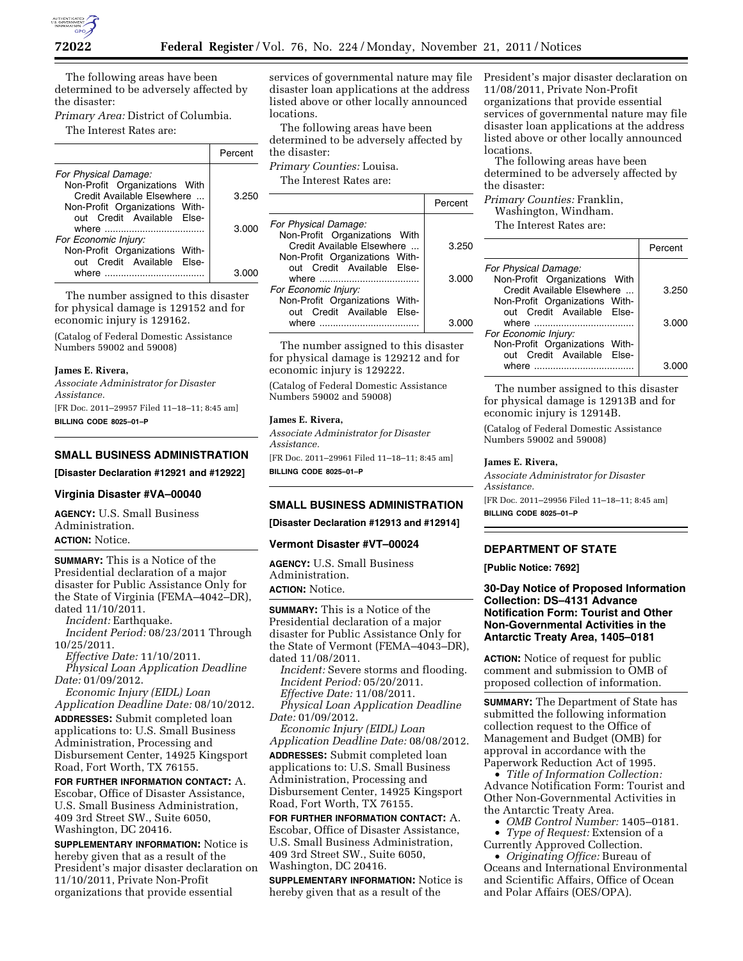

The following areas have been determined to be adversely affected by the disaster:

*Primary Area:* District of Columbia. The Interest Rates are:

|                                | Percent |
|--------------------------------|---------|
| For Physical Damage:           |         |
| Non-Profit Organizations With  |         |
| Credit Available Elsewhere     | 3.250   |
| Non-Profit Organizations With- |         |
| out Credit Available Else-     |         |
|                                | 3.000   |
| For Economic Injury:           |         |
| Non-Profit Organizations With- |         |
| out Credit Available Else-     |         |
| where $\blacksquare$           | 3 OO    |

The number assigned to this disaster for physical damage is 129152 and for economic injury is 129162.

(Catalog of Federal Domestic Assistance Numbers 59002 and 59008)

#### **James E. Rivera,**

*Associate Administrator for Disaster Assistance.*  [FR Doc. 2011–29957 Filed 11–18–11; 8:45 am] **BILLING CODE 8025–01–P** 

### **SMALL BUSINESS ADMINISTRATION**

**[Disaster Declaration #12921 and #12922]** 

## **Virginia Disaster #VA–00040**

**AGENCY:** U.S. Small Business Administration. **ACTION:** Notice.

**SUMMARY:** This is a Notice of the Presidential declaration of a major disaster for Public Assistance Only for the State of Virginia (FEMA–4042–DR), dated 11/10/2011.

*Incident:* Earthquake. *Incident Period:* 08/23/2011 Through 10/25/2011.

*Effective Date:* 11/10/2011. *Physical Loan Application Deadline Date:* 01/09/2012.

*Economic Injury (EIDL) Loan Application Deadline Date:* 08/10/2012.

**ADDRESSES:** Submit completed loan applications to: U.S. Small Business Administration, Processing and Disbursement Center, 14925 Kingsport Road, Fort Worth, TX 76155.

**FOR FURTHER INFORMATION CONTACT:** A. Escobar, Office of Disaster Assistance, U.S. Small Business Administration, 409 3rd Street SW., Suite 6050, Washington, DC 20416.

**SUPPLEMENTARY INFORMATION:** Notice is hereby given that as a result of the President's major disaster declaration on 11/10/2011, Private Non-Profit organizations that provide essential

services of governmental nature may file disaster loan applications at the address listed above or other locally announced locations.

The following areas have been determined to be adversely affected by the disaster:

*Primary Counties:* Louisa.

The Interest Rates are:

|                                                              | Percent |
|--------------------------------------------------------------|---------|
| For Physical Damage:                                         |         |
| Non-Profit Organizations With<br>Credit Available Elsewhere  | 3.250   |
| Non-Profit Organizations With-<br>out Credit Available Else- | 3.000   |
| For Economic Injury:<br>Non-Profit Organizations With-       |         |
| out Credit Available Else-<br>where                          | 3 O     |

The number assigned to this disaster for physical damage is 129212 and for economic injury is 129222.

(Catalog of Federal Domestic Assistance Numbers 59002 and 59008)

## **James E. Rivera,**

*Associate Administrator for Disaster Assistance.*  [FR Doc. 2011–29961 Filed 11–18–11; 8:45 am] **BILLING CODE 8025–01–P** 

#### **SMALL BUSINESS ADMINISTRATION**

**[Disaster Declaration #12913 and #12914]** 

#### **Vermont Disaster #VT–00024**

**AGENCY:** U.S. Small Business Administration.

**ACTION:** Notice.

**SUMMARY:** This is a Notice of the Presidential declaration of a major disaster for Public Assistance Only for the State of Vermont (FEMA–4043–DR), dated 11/08/2011. *Incident:* Severe storms and flooding.

*Incident Period:* 05/20/2011. *Effective Date:* 11/08/2011. *Physical Loan Application Deadline* 

*Date:* 01/09/2012. *Economic Injury (EIDL) Loan* 

*Application Deadline Date:* 08/08/2012.

**ADDRESSES:** Submit completed loan applications to: U.S. Small Business Administration, Processing and Disbursement Center, 14925 Kingsport Road, Fort Worth, TX 76155.

**FOR FURTHER INFORMATION CONTACT:** A. Escobar, Office of Disaster Assistance, U.S. Small Business Administration, 409 3rd Street SW., Suite 6050, Washington, DC 20416.

**SUPPLEMENTARY INFORMATION:** Notice is hereby given that as a result of the

President's major disaster declaration on 11/08/2011, Private Non-Profit organizations that provide essential services of governmental nature may file disaster loan applications at the address listed above or other locally announced locations.

The following areas have been determined to be adversely affected by the disaster:

*Primary Counties:* Franklin, Washington, Windham. The Interest Rates are:

|                                                              | Percent |
|--------------------------------------------------------------|---------|
| For Physical Damage:                                         |         |
| Non-Profit Organizations With<br>Credit Available Elsewhere  | 3.250   |
| Non-Profit Organizations With-<br>out Credit Available Else- |         |
|                                                              | 3.000   |
| For Economic Injury:                                         |         |
| Non-Profit Organizations With-                               |         |
| out Credit Available Else-                                   |         |
|                                                              | 3.0     |

The number assigned to this disaster for physical damage is 12913B and for economic injury is 12914B.

(Catalog of Federal Domestic Assistance Numbers 59002 and 59008)

#### **James E. Rivera,**

*Associate Administrator for Disaster Assistance.* 

[FR Doc. 2011–29956 Filed 11–18–11; 8:45 am] **BILLING CODE 8025–01–P** 

# **DEPARTMENT OF STATE**

# **[Public Notice: 7692]**

**30-Day Notice of Proposed Information Collection: DS–4131 Advance Notification Form: Tourist and Other Non-Governmental Activities in the Antarctic Treaty Area, 1405–0181** 

**ACTION:** Notice of request for public comment and submission to OMB of proposed collection of information.

**SUMMARY:** The Department of State has submitted the following information collection request to the Office of Management and Budget (OMB) for approval in accordance with the Paperwork Reduction Act of 1995.

• *Title of Information Collection:*  Advance Notification Form: Tourist and Other Non-Governmental Activities in the Antarctic Treaty Area.

• *OMB Control Number:* 1405–0181.

• *Type of Request:* Extension of a Currently Approved Collection.

• *Originating Office:* Bureau of Oceans and International Environmental and Scientific Affairs, Office of Ocean and Polar Affairs (OES/OPA).